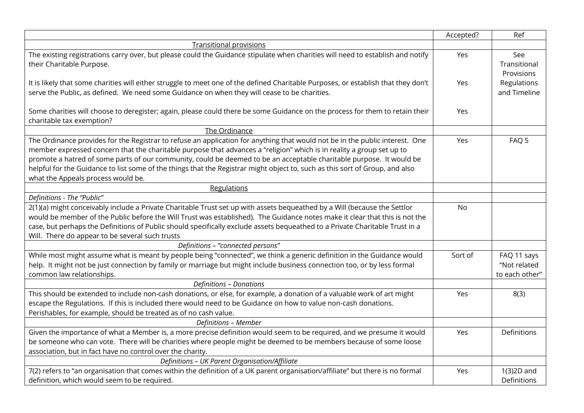|                                                                                                                                                                                                                                                                                                                                                                                                                                                                                                                                                     | Accepted? | Ref                                           |
|-----------------------------------------------------------------------------------------------------------------------------------------------------------------------------------------------------------------------------------------------------------------------------------------------------------------------------------------------------------------------------------------------------------------------------------------------------------------------------------------------------------------------------------------------------|-----------|-----------------------------------------------|
| <b>Transitional provisions</b>                                                                                                                                                                                                                                                                                                                                                                                                                                                                                                                      |           |                                               |
| The existing registrations carry over, but please could the Guidance stipulate when charities will need to establish and notify<br>their Charitable Purpose.                                                                                                                                                                                                                                                                                                                                                                                        | Yes       | See<br>Transitional<br>Provisions             |
| It is likely that some charities will either struggle to meet one of the defined Charitable Purposes, or establish that they don't<br>serve the Public, as defined. We need some Guidance on when they will cease to be charities.                                                                                                                                                                                                                                                                                                                  | Yes       | Regulations<br>and Timeline                   |
| Some charities will choose to deregister; again, please could there be some Guidance on the process for them to retain their<br>charitable tax exemption?                                                                                                                                                                                                                                                                                                                                                                                           | Yes       |                                               |
| The Ordinance                                                                                                                                                                                                                                                                                                                                                                                                                                                                                                                                       |           |                                               |
| The Ordinance provides for the Registrar to refuse an application for anything that would not be in the public interest. One<br>member expressed concern that the charitable purpose that advances a "religion" which is in reality a group set up to<br>promote a hatred of some parts of our community, could be deemed to be an acceptable charitable purpose. It would be<br>helpful for the Guidance to list some of the things that the Registrar might object to, such as this sort of Group, and also<br>what the Appeals process would be. | Yes       | FAQ 5                                         |
| Regulations                                                                                                                                                                                                                                                                                                                                                                                                                                                                                                                                         |           |                                               |
| Definitions - The "Public"                                                                                                                                                                                                                                                                                                                                                                                                                                                                                                                          |           |                                               |
| 2(1)(a) might conceivably include a Private Charitable Trust set up with assets bequeathed by a Will (because the Settlor<br>would be member of the Public before the Will Trust was established). The Guidance notes make it clear that this is not the<br>case, but perhaps the Definitions of Public should specifically exclude assets bequeathed to a Private Charitable Trust in a<br>Will. There do appear to be several such trusts                                                                                                         | <b>No</b> |                                               |
| Definitions - "connected persons"                                                                                                                                                                                                                                                                                                                                                                                                                                                                                                                   |           |                                               |
| While most might assume what is meant by people being "connected", we think a generic definition in the Guidance would<br>help. It might not be just connection by family or marriage but might include business connection too, or by less formal<br>common law relationships.                                                                                                                                                                                                                                                                     | Sort of   | FAQ 11 says<br>"Not related<br>to each other" |
| <b>Definitions - Donations</b>                                                                                                                                                                                                                                                                                                                                                                                                                                                                                                                      |           |                                               |
| This should be extended to include non-cash donations, or else, for example, a donation of a valuable work of art might<br>escape the Regulations. If this is included there would need to be Guidance on how to value non-cash donations.<br>Perishables, for example, should be treated as of no cash value.                                                                                                                                                                                                                                      | Yes       | 8(3)                                          |
| Definitions - Member                                                                                                                                                                                                                                                                                                                                                                                                                                                                                                                                |           |                                               |
| Given the importance of what a Member is, a more precise definition would seem to be required, and we presume it would<br>be someone who can vote. There will be charities where people might be deemed to be members because of some loose<br>association, but in fact have no control over the charity.                                                                                                                                                                                                                                           | Yes       | Definitions                                   |
| Definitions - UK Parent Organisation/Affiliate                                                                                                                                                                                                                                                                                                                                                                                                                                                                                                      |           |                                               |
| 7(2) refers to "an organisation that comes within the definition of a UK parent organisation/affiliate" but there is no formal<br>definition, which would seem to be required.                                                                                                                                                                                                                                                                                                                                                                      | Yes       | 1(3)2D and<br>Definitions                     |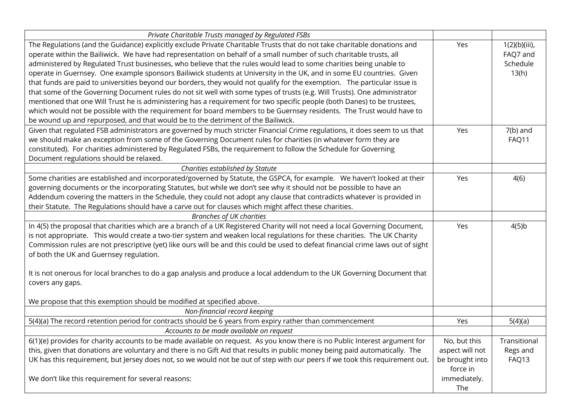| Private Charitable Trusts managed by Regulated FSBs                                                                                                                                                                                                                                                                                                                                                                                                                                                                                                                                                                                                                                                                                                                                                                                                                                                                                                                                                                                                                                                                                                                                                                                                                                                                                                |                                                                |                                                                          |
|----------------------------------------------------------------------------------------------------------------------------------------------------------------------------------------------------------------------------------------------------------------------------------------------------------------------------------------------------------------------------------------------------------------------------------------------------------------------------------------------------------------------------------------------------------------------------------------------------------------------------------------------------------------------------------------------------------------------------------------------------------------------------------------------------------------------------------------------------------------------------------------------------------------------------------------------------------------------------------------------------------------------------------------------------------------------------------------------------------------------------------------------------------------------------------------------------------------------------------------------------------------------------------------------------------------------------------------------------|----------------------------------------------------------------|--------------------------------------------------------------------------|
| The Regulations (and the Guidance) explicitly exclude Private Charitable Trusts that do not take charitable donations and<br>operate within the Bailiwick. We have had representation on behalf of a small number of such charitable trusts, all<br>administered by Regulated Trust businesses, who believe that the rules would lead to some charities being unable to<br>operate in Guernsey. One example sponsors Bailiwick students at University in the UK, and in some EU countries. Given<br>that funds are paid to universities beyond our borders, they would not qualify for the exemption. The particular issue is<br>that some of the Governing Document rules do not sit well with some types of trusts (e.g. Will Trusts). One administrator<br>mentioned that one Will Trust he is administering has a requirement for two specific people (both Danes) to be trustees,<br>which would not be possible with the requirement for board members to be Guernsey residents. The Trust would have to<br>be wound up and repurposed, and that would be to the detriment of the Bailiwick.<br>Given that regulated FSB administrators are governed by much stricter Financial Crime regulations, it does seem to us that<br>we should make an exception from some of the Governing Document rules for charities (in whatever form they are | Yes<br>Yes                                                     | $1(2)(b)(iii)$ ,<br>FAQ7 and<br>Schedule<br>13(h)<br>$7(b)$ and<br>FAQ11 |
| constituted). For charities administered by Regulated FSBs, the requirement to follow the Schedule for Governing                                                                                                                                                                                                                                                                                                                                                                                                                                                                                                                                                                                                                                                                                                                                                                                                                                                                                                                                                                                                                                                                                                                                                                                                                                   |                                                                |                                                                          |
| Document regulations should be relaxed.                                                                                                                                                                                                                                                                                                                                                                                                                                                                                                                                                                                                                                                                                                                                                                                                                                                                                                                                                                                                                                                                                                                                                                                                                                                                                                            |                                                                |                                                                          |
| Charities established by Statute                                                                                                                                                                                                                                                                                                                                                                                                                                                                                                                                                                                                                                                                                                                                                                                                                                                                                                                                                                                                                                                                                                                                                                                                                                                                                                                   |                                                                |                                                                          |
| Some charities are established and incorporated/governed by Statute, the GSPCA, for example. We haven't looked at their<br>governing documents or the incorporating Statutes, but while we don't see why it should not be possible to have an<br>Addendum covering the matters in the Schedule, they could not adopt any clause that contradicts whatever is provided in<br>their Statute. The Regulations should have a carve out for clauses which might affect these charities.                                                                                                                                                                                                                                                                                                                                                                                                                                                                                                                                                                                                                                                                                                                                                                                                                                                                 | Yes                                                            | 4(6)                                                                     |
| <b>Branches of UK charities</b>                                                                                                                                                                                                                                                                                                                                                                                                                                                                                                                                                                                                                                                                                                                                                                                                                                                                                                                                                                                                                                                                                                                                                                                                                                                                                                                    |                                                                |                                                                          |
| In 4(5) the proposal that charities which are a branch of a UK Registered Charity will not need a local Governing Document,<br>is not appropriate. This would create a two-tier system and weaken local regulations for these charities. The UK Charity<br>Commission rules are not prescriptive (yet) like ours will be and this could be used to defeat financial crime laws out of sight<br>of both the UK and Guernsey regulation.<br>It is not onerous for local branches to do a gap analysis and produce a local addendum to the UK Governing Document that<br>covers any gaps.                                                                                                                                                                                                                                                                                                                                                                                                                                                                                                                                                                                                                                                                                                                                                             | Yes                                                            | 4(5)b                                                                    |
| We propose that this exemption should be modified at specified above.                                                                                                                                                                                                                                                                                                                                                                                                                                                                                                                                                                                                                                                                                                                                                                                                                                                                                                                                                                                                                                                                                                                                                                                                                                                                              |                                                                |                                                                          |
| Non-financial record keeping                                                                                                                                                                                                                                                                                                                                                                                                                                                                                                                                                                                                                                                                                                                                                                                                                                                                                                                                                                                                                                                                                                                                                                                                                                                                                                                       |                                                                |                                                                          |
| 5(4)(a) The record retention period for contracts should be 6 years from expiry rather than commencement                                                                                                                                                                                                                                                                                                                                                                                                                                                                                                                                                                                                                                                                                                                                                                                                                                                                                                                                                                                                                                                                                                                                                                                                                                           | Yes                                                            | 5(4)(a)                                                                  |
| Accounts to be made available on request                                                                                                                                                                                                                                                                                                                                                                                                                                                                                                                                                                                                                                                                                                                                                                                                                                                                                                                                                                                                                                                                                                                                                                                                                                                                                                           |                                                                |                                                                          |
| 6(1)(e) provides for charity accounts to be made available on request. As you know there is no Public Interest argument for<br>this, given that donations are voluntary and there is no Gift Aid that results in public money being paid automatically. The<br>UK has this requirement, but Jersey does not, so we would not be out of step with our peers if we took this requirement out.                                                                                                                                                                                                                                                                                                                                                                                                                                                                                                                                                                                                                                                                                                                                                                                                                                                                                                                                                        | No, but this<br>aspect will not<br>be brought into<br>force in | Transitional<br>Regs and<br>FAQ13                                        |
| We don't like this requirement for several reasons:                                                                                                                                                                                                                                                                                                                                                                                                                                                                                                                                                                                                                                                                                                                                                                                                                                                                                                                                                                                                                                                                                                                                                                                                                                                                                                | immediately.<br>The                                            |                                                                          |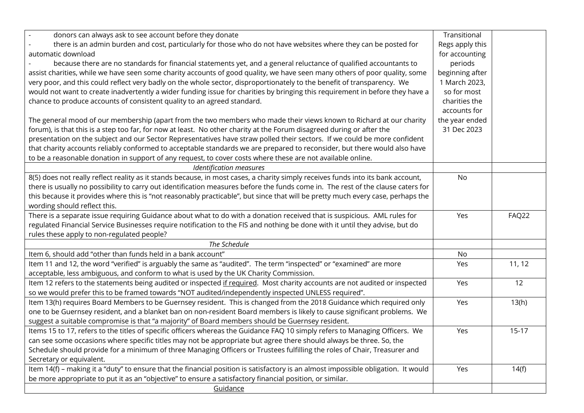| donors can always ask to see account before they donate                                                                            | Transitional    |         |
|------------------------------------------------------------------------------------------------------------------------------------|-----------------|---------|
| there is an admin burden and cost, particularly for those who do not have websites where they can be posted for                    | Regs apply this |         |
| automatic download                                                                                                                 | for accounting  |         |
| because there are no standards for financial statements yet, and a general reluctance of qualified accountants to                  | periods         |         |
| assist charities, while we have seen some charity accounts of good quality, we have seen many others of poor quality, some         | beginning after |         |
| very poor, and this could reflect very badly on the whole sector, disproportionately to the benefit of transparency. We            | 1 March 2023,   |         |
| would not want to create inadvertently a wider funding issue for charities by bringing this requirement in before they have a      | so for most     |         |
| chance to produce accounts of consistent quality to an agreed standard.                                                            | charities the   |         |
|                                                                                                                                    | accounts for    |         |
| The general mood of our membership (apart from the two members who made their views known to Richard at our charity                | the year ended  |         |
| forum), is that this is a step too far, for now at least. No other charity at the Forum disagreed during or after the              | 31 Dec 2023     |         |
| presentation on the subject and our Sector Representatives have straw polled their sectors. If we could be more confident          |                 |         |
| that charity accounts reliably conformed to acceptable standards we are prepared to reconsider, but there would also have          |                 |         |
| to be a reasonable donation in support of any request, to cover costs where these are not available online.                        |                 |         |
| <b>Identification measures</b>                                                                                                     |                 |         |
| 8(5) does not really reflect reality as it stands because, in most cases, a charity simply receives funds into its bank account,   | <b>No</b>       |         |
| there is usually no possibility to carry out identification measures before the funds come in. The rest of the clause caters for   |                 |         |
| this because it provides where this is "not reasonably practicable", but since that will be pretty much every case, perhaps the    |                 |         |
| wording should reflect this.                                                                                                       |                 |         |
| There is a separate issue requiring Guidance about what to do with a donation received that is suspicious. AML rules for           | Yes             | FAQ22   |
| regulated Financial Service Businesses require notification to the FIS and nothing be done with it until they advise, but do       |                 |         |
| rules these apply to non-regulated people?                                                                                         |                 |         |
| The Schedule                                                                                                                       |                 |         |
| Item 6, should add "other than funds held in a bank account"                                                                       | No              |         |
| Item 11 and 12, the word "verified" is arguably the same as "audited". The term "inspected" or "examined" are more                 | Yes             | 11, 12  |
| acceptable, less ambiguous, and conform to what is used by the UK Charity Commission.                                              |                 |         |
| Item 12 refers to the statements being audited or inspected if required. Most charity accounts are not audited or inspected        | Yes             | 12      |
| so we would prefer this to be framed towards "NOT audited/independently inspected UNLESS required".                                |                 |         |
| Item 13(h) requires Board Members to be Guernsey resident. This is changed from the 2018 Guidance which required only              | Yes             | 13(h)   |
| one to be Guernsey resident, and a blanket ban on non-resident Board members is likely to cause significant problems. We           |                 |         |
| suggest a suitable compromise is that "a majority" of Board members should be Guernsey resident.                                   |                 |         |
| Items 15 to 17, refers to the titles of specific officers whereas the Guidance FAQ 10 simply refers to Managing Officers. We       | Yes             | $15-17$ |
| can see some occasions where specific titles may not be appropriate but agree there should always be three. So, the                |                 |         |
| Schedule should provide for a minimum of three Managing Officers or Trustees fulfilling the roles of Chair, Treasurer and          |                 |         |
| Secretary or equivalent.                                                                                                           |                 |         |
| Item 14(f) - making it a "duty" to ensure that the financial position is satisfactory is an almost impossible obligation. It would | Yes             | 14(f)   |
| be more appropriate to put it as an "objective" to ensure a satisfactory financial position, or similar.                           |                 |         |
| Guidance                                                                                                                           |                 |         |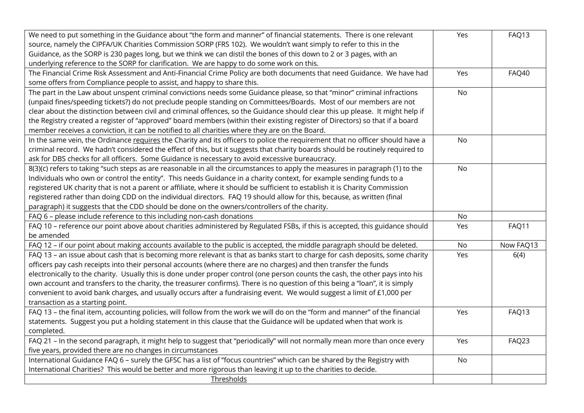| We need to put something in the Guidance about "the form and manner" of financial statements. There is one relevant<br>source, namely the CIPFA/UK Charities Commission SORP (FRS 102). We wouldn't want simply to refer to this in the<br>Guidance, as the SORP is 230 pages long, but we think we can distil the bones of this down to 2 or 3 pages, with an<br>underlying reference to the SORP for clarification. We are happy to do some work on this.                                                                                                                                                                                                                     | Yes       | FAQ13     |
|---------------------------------------------------------------------------------------------------------------------------------------------------------------------------------------------------------------------------------------------------------------------------------------------------------------------------------------------------------------------------------------------------------------------------------------------------------------------------------------------------------------------------------------------------------------------------------------------------------------------------------------------------------------------------------|-----------|-----------|
| The Financial Crime Risk Assessment and Anti-Financial Crime Policy are both documents that need Guidance. We have had<br>some offers from Compliance people to assist, and happy to share this.                                                                                                                                                                                                                                                                                                                                                                                                                                                                                | Yes       | FAQ40     |
| The part in the Law about unspent criminal convictions needs some Guidance please, so that "minor" criminal infractions<br>(unpaid fines/speeding tickets?) do not preclude people standing on Committees/Boards. Most of our members are not<br>clear about the distinction between civil and criminal offences, so the Guidance should clear this up please. It might help if<br>the Registry created a register of "approved" board members (within their existing register of Directors) so that if a board<br>member receives a conviction, it can be notified to all charities where they are on the Board.                                                               | <b>No</b> |           |
| In the same vein, the Ordinance requires the Charity and its officers to police the requirement that no officer should have a<br>criminal record. We hadn't considered the effect of this, but it suggests that charity boards should be routinely required to<br>ask for DBS checks for all officers. Some Guidance is necessary to avoid excessive bureaucracy.                                                                                                                                                                                                                                                                                                               | <b>No</b> |           |
| 8(3)(c) refers to taking "such steps as are reasonable in all the circumstances to apply the measures in paragraph (1) to the<br>Individuals who own or control the entity". This needs Guidance in a charity context, for example sending funds to a<br>registered UK charity that is not a parent or affiliate, where it should be sufficient to establish it is Charity Commission<br>registered rather than doing CDD on the individual directors. FAQ 19 should allow for this, because, as written (final<br>paragraph) it suggests that the CDD should be done on the owners/controllers of the charity.                                                                 | <b>No</b> |           |
| FAQ 6 - please include reference to this including non-cash donations                                                                                                                                                                                                                                                                                                                                                                                                                                                                                                                                                                                                           | No        |           |
| FAQ 10 - reference our point above about charities administered by Regulated FSBs, if this is accepted, this guidance should<br>be amended                                                                                                                                                                                                                                                                                                                                                                                                                                                                                                                                      | Yes       | FAQ11     |
| FAQ 12 - if our point about making accounts available to the public is accepted, the middle paragraph should be deleted.                                                                                                                                                                                                                                                                                                                                                                                                                                                                                                                                                        | No        | Now FAQ13 |
| FAQ 13 - an issue about cash that is becoming more relevant is that as banks start to charge for cash deposits, some charity<br>officers pay cash receipts into their personal accounts (where there are no charges) and then transfer the funds<br>electronically to the charity. Usually this is done under proper control (one person counts the cash, the other pays into his<br>own account and transfers to the charity, the treasurer confirms). There is no question of this being a "loan", it is simply<br>convenient to avoid bank charges, and usually occurs after a fundraising event. We would suggest a limit of £1,000 per<br>transaction as a starting point. | Yes       | 6(4)      |
| FAQ 13 - the final item, accounting policies, will follow from the work we will do on the "form and manner" of the financial<br>statements. Suggest you put a holding statement in this clause that the Guidance will be updated when that work is<br>completed.                                                                                                                                                                                                                                                                                                                                                                                                                | Yes       | FAQ13     |
| FAQ 21 - In the second paragraph, it might help to suggest that "periodically" will not normally mean more than once every<br>five years, provided there are no changes in circumstances                                                                                                                                                                                                                                                                                                                                                                                                                                                                                        | Yes       | FAQ23     |
| International Guidance FAQ 6 - surely the GFSC has a list of "focus countries" which can be shared by the Registry with<br>International Charities? This would be better and more rigorous than leaving it up to the charities to decide.                                                                                                                                                                                                                                                                                                                                                                                                                                       | <b>No</b> |           |
| Thresholds                                                                                                                                                                                                                                                                                                                                                                                                                                                                                                                                                                                                                                                                      |           |           |